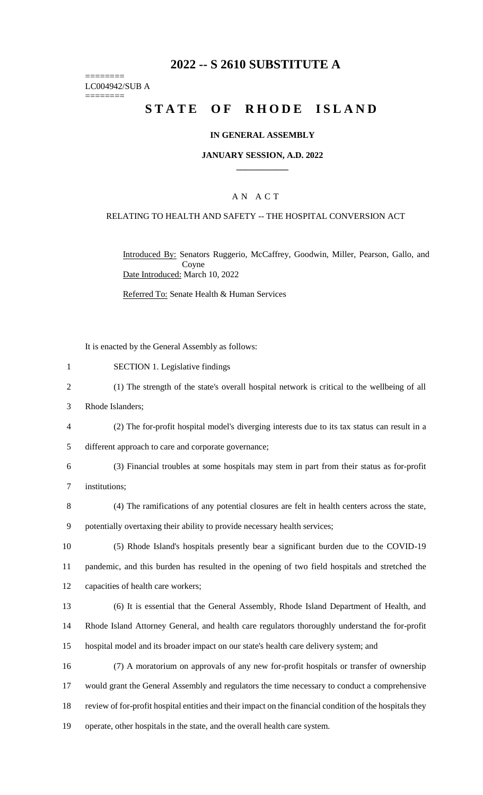# **2022 -- S 2610 SUBSTITUTE A**

======== LC004942/SUB A ========

# **STATE OF RHODE ISLAND**

#### **IN GENERAL ASSEMBLY**

#### **JANUARY SESSION, A.D. 2022 \_\_\_\_\_\_\_\_\_\_\_\_**

### A N A C T

#### RELATING TO HEALTH AND SAFETY -- THE HOSPITAL CONVERSION ACT

Introduced By: Senators Ruggerio, McCaffrey, Goodwin, Miller, Pearson, Gallo, and Coyne Date Introduced: March 10, 2022

Referred To: Senate Health & Human Services

It is enacted by the General Assembly as follows:

- 1 SECTION 1. Legislative findings
- 2 (1) The strength of the state's overall hospital network is critical to the wellbeing of all
- 3 Rhode Islanders;
- 4 (2) The for-profit hospital model's diverging interests due to its tax status can result in a
- 5 different approach to care and corporate governance;
- 6 (3) Financial troubles at some hospitals may stem in part from their status as for-profit 7 institutions;
- 8 (4) The ramifications of any potential closures are felt in health centers across the state, 9 potentially overtaxing their ability to provide necessary health services;
- 10 (5) Rhode Island's hospitals presently bear a significant burden due to the COVID-19 11 pandemic, and this burden has resulted in the opening of two field hospitals and stretched the 12 capacities of health care workers;
- 

13 (6) It is essential that the General Assembly, Rhode Island Department of Health, and 14 Rhode Island Attorney General, and health care regulators thoroughly understand the for-profit 15 hospital model and its broader impact on our state's health care delivery system; and

 (7) A moratorium on approvals of any new for-profit hospitals or transfer of ownership would grant the General Assembly and regulators the time necessary to conduct a comprehensive review of for-profit hospital entities and their impact on the financial condition of the hospitals they operate, other hospitals in the state, and the overall health care system.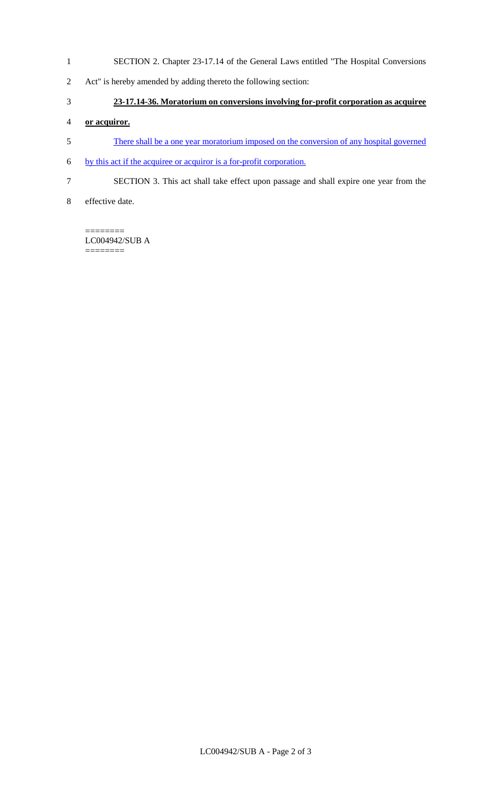- SECTION 2. Chapter 23-17.14 of the General Laws entitled "The Hospital Conversions
- Act" is hereby amended by adding thereto the following section:

### **23-17.14-36. Moratorium on conversions involving for-profit corporation as acquiree**

### **or acquiror.**

- There shall be a one year moratorium imposed on the conversion of any hospital governed
- by this act if the acquiree or acquiror is a for-profit corporation.
- SECTION 3. This act shall take effect upon passage and shall expire one year from the
- effective date.

======== LC004942/SUB A  $=$